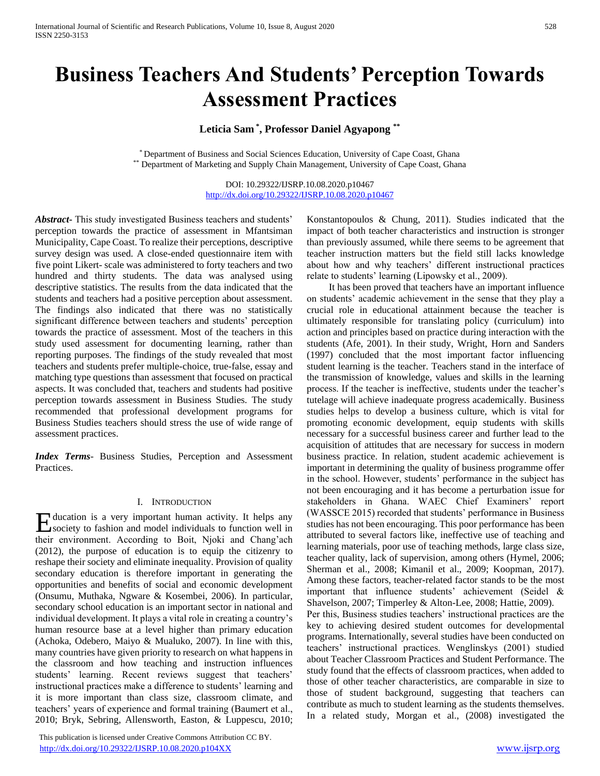# **Business Teachers And Students' Perception Towards Assessment Practices**

# **Leticia Sam \* , Professor Daniel Agyapong \*\***

\* Department of Business and Social Sciences Education, University of Cape Coast, Ghana \*\* Department of Marketing and Supply Chain Management, University of Cape Coast, Ghana

> DOI: 10.29322/IJSRP.10.08.2020.p10467 <http://dx.doi.org/10.29322/IJSRP.10.08.2020.p10467>

*Abstract***-** This study investigated Business teachers and students' perception towards the practice of assessment in Mfantsiman Municipality, Cape Coast. To realize their perceptions, descriptive survey design was used. A close-ended questionnaire item with five point Likert- scale was administered to forty teachers and two hundred and thirty students. The data was analysed using descriptive statistics. The results from the data indicated that the students and teachers had a positive perception about assessment. The findings also indicated that there was no statistically significant difference between teachers and students' perception towards the practice of assessment. Most of the teachers in this study used assessment for documenting learning, rather than reporting purposes. The findings of the study revealed that most teachers and students prefer multiple-choice, true-false, essay and matching type questions than assessment that focused on practical aspects. It was concluded that, teachers and students had positive perception towards assessment in Business Studies. The study recommended that professional development programs for Business Studies teachers should stress the use of wide range of assessment practices.

*Index Terms*- Business Studies, Perception and Assessment Practices.

#### I. INTRODUCTION

ducation is a very important human activity. It helps any Education is a very important human activity. It helps any society to fashion and model individuals to function well in their environment. According to Boit, Njoki and Chang'ach (2012), the purpose of education is to equip the citizenry to reshape their society and eliminate inequality. Provision of quality secondary education is therefore important in generating the opportunities and benefits of social and economic development (Onsumu, Muthaka, Ngware & Kosembei, 2006). In particular, secondary school education is an important sector in national and individual development. It plays a vital role in creating a country's human resource base at a level higher than primary education (Achoka, Odebero, Maiyo & Mualuko, 2007). In line with this, many countries have given priority to research on what happens in the classroom and how teaching and instruction influences students' learning. Recent reviews suggest that teachers' instructional practices make a difference to students' learning and it is more important than class size, classroom climate, and teachers' years of experience and formal training (Baumert et al., 2010; Bryk, Sebring, Allensworth, Easton, & Luppescu, 2010;

 This publication is licensed under Creative Commons Attribution CC BY. <http://dx.doi.org/10.29322/IJSRP.10.08.2020.p104XX> [www.ijsrp.org](http://ijsrp.org/)

Konstantopoulos & Chung, 2011). Studies indicated that the impact of both teacher characteristics and instruction is stronger than previously assumed, while there seems to be agreement that teacher instruction matters but the field still lacks knowledge about how and why teachers' different instructional practices relate to students' learning (Lipowsky et al., 2009).

 It has been proved that teachers have an important influence on students' academic achievement in the sense that they play a crucial role in educational attainment because the teacher is ultimately responsible for translating policy (curriculum) into action and principles based on practice during interaction with the students (Afe, 2001). In their study, Wright, Horn and Sanders (1997) concluded that the most important factor influencing student learning is the teacher. Teachers stand in the interface of the transmission of knowledge, values and skills in the learning process. If the teacher is ineffective, students under the teacher's tutelage will achieve inadequate progress academically. Business studies helps to develop a business culture, which is vital for promoting economic development, equip students with skills necessary for a successful business career and further lead to the acquisition of attitudes that are necessary for success in modern business practice. In relation, student academic achievement is important in determining the quality of business programme offer in the school. However, students' performance in the subject has not been encouraging and it has become a perturbation issue for stakeholders in Ghana. WAEC Chief Examiners' report (WASSCE 2015) recorded that students' performance in Business studies has not been encouraging. This poor performance has been attributed to several factors like, ineffective use of teaching and learning materials, poor use of teaching methods, large class size, teacher quality, lack of supervision, among others (Hymel, 2006; Sherman et al., 2008; Kimanil et al., 2009; Koopman, 2017). Among these factors, teacher-related factor stands to be the most important that influence students' achievement (Seidel & Shavelson, 2007; Timperley & Alton-Lee, 2008; Hattie, 2009). Per this, Business studies teachers' instructional practices are the key to achieving desired student outcomes for developmental programs. Internationally, several studies have been conducted on teachers' instructional practices. Wenglinskys (2001) studied about Teacher Classroom Practices and Student Performance. The study found that the effects of classroom practices, when added to those of other teacher characteristics, are comparable in size to those of student background, suggesting that teachers can contribute as much to student learning as the students themselves. In a related study, Morgan et al., (2008) investigated the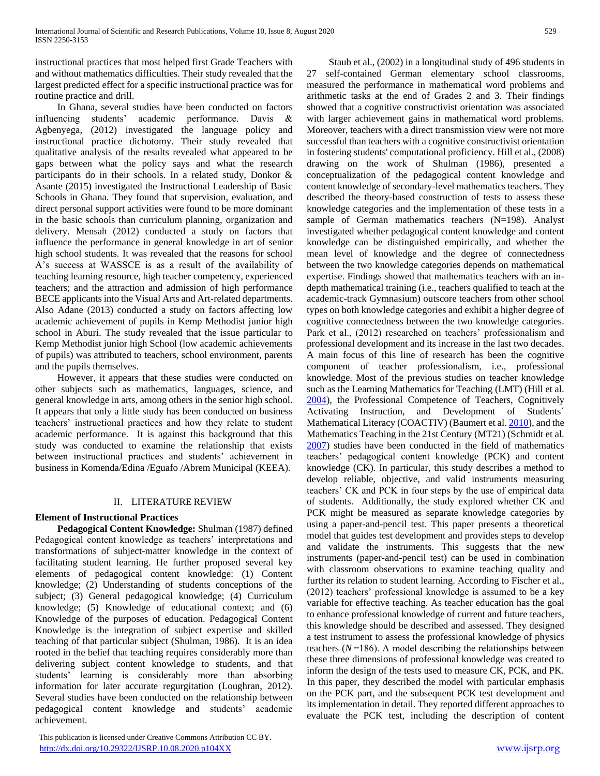instructional practices that most helped first Grade Teachers with and without mathematics difficulties. Their study revealed that the largest predicted effect for a specific instructional practice was for routine practice and drill.

 In Ghana, several studies have been conducted on factors influencing students' academic performance. Davis & Agbenyega, (2012) investigated the language policy and instructional practice dichotomy. Their study revealed that qualitative analysis of the results revealed what appeared to be gaps between what the policy says and what the research participants do in their schools. In a related study, Donkor & Asante (2015) investigated the Instructional Leadership of Basic Schools in Ghana. They found that supervision, evaluation, and direct personal support activities were found to be more dominant in the basic schools than curriculum planning, organization and delivery. Mensah (2012) conducted a study on factors that influence the performance in general knowledge in art of senior high school students. It was revealed that the reasons for school A's success at WASSCE is as a result of the availability of teaching learning resource, high teacher competency, experienced teachers; and the attraction and admission of high performance BECE applicants into the Visual Arts and Art-related departments. Also Adane (2013) conducted a study on factors affecting low academic achievement of pupils in Kemp Methodist junior high school in Aburi. The study revealed that the issue particular to Kemp Methodist junior high School (low academic achievements of pupils) was attributed to teachers, school environment, parents and the pupils themselves.

 However, it appears that these studies were conducted on other subjects such as mathematics, languages, science, and general knowledge in arts, among others in the senior high school. It appears that only a little study has been conducted on business teachers' instructional practices and how they relate to student academic performance. It is against this background that this study was conducted to examine the relationship that exists between instructional practices and students' achievement in business in Komenda/Edina /Eguafo /Abrem Municipal (KEEA).

# II. LITERATURE REVIEW

# **Element of Instructional Practices**

 **Pedagogical Content Knowledge:** Shulman (1987) defined Pedagogical content knowledge as teachers' interpretations and transformations of subject-matter knowledge in the context of facilitating student learning. He further proposed several key elements of pedagogical content knowledge: (1) Content knowledge; (2) Understanding of students conceptions of the subject; (3) General pedagogical knowledge; (4) Curriculum knowledge; (5) Knowledge of educational context; and (6) Knowledge of the purposes of education. Pedagogical Content Knowledge is the integration of subject expertise and skilled teaching of that particular subject (Shulman, 1986). It is an idea rooted in the belief that teaching requires considerably more than delivering subject content knowledge to students, and that students' learning is considerably more than absorbing information for later accurate regurgitation (Loughran, 2012). Several studies have been conducted on the relationship between pedagogical content knowledge and students' academic achievement.

 This publication is licensed under Creative Commons Attribution CC BY. <http://dx.doi.org/10.29322/IJSRP.10.08.2020.p104XX> [www.ijsrp.org](http://ijsrp.org/)

 Staub et al., (2002) in a longitudinal study of 496 students in 27 self-contained German elementary school classrooms, measured the performance in mathematical word problems and arithmetic tasks at the end of Grades 2 and 3. Their findings showed that a cognitive constructivist orientation was associated with larger achievement gains in mathematical word problems. Moreover, teachers with a direct transmission view were not more successful than teachers with a cognitive constructivist orientation in fostering students' computational proficiency. Hill et al., (2008) drawing on the work of Shulman (1986), presented a conceptualization of the pedagogical content knowledge and content knowledge of secondary-level mathematics teachers. They described the theory-based construction of tests to assess these knowledge categories and the implementation of these tests in a sample of German mathematics teachers (N=198). Analyst investigated whether pedagogical content knowledge and content knowledge can be distinguished empirically, and whether the mean level of knowledge and the degree of connectedness between the two knowledge categories depends on mathematical expertise. Findings showed that mathematics teachers with an indepth mathematical training (i.e., teachers qualified to teach at the academic-track Gymnasium) outscore teachers from other school types on both knowledge categories and exhibit a higher degree of cognitive connectedness between the two knowledge categories. Park et al., (2012) researched on teachers' professionalism and professional development and its increase in the last two decades. A main focus of this line of research has been the cognitive component of teacher professionalism, i.e., professional knowledge. Most of the previous studies on teacher knowledge such as the Learning Mathematics for Teaching (LMT) (Hill et al. [2004\)](https://link.springer.com/article/10.1007/s11092-013-9157-y#CR36), the Professional Competence of Teachers, Cognitively Activating Instruction, and Development of Students´ Mathematical Literacy (COACTIV) (Baumert et al[. 2010\)](https://link.springer.com/article/10.1007/s11092-013-9157-y#CR8), and the Mathematics Teaching in the 21st Century (MT21) (Schmidt et al. [2007\)](https://link.springer.com/article/10.1007/s11092-013-9157-y#CR60) studies have been conducted in the field of mathematics teachers' pedagogical content knowledge (PCK) and content knowledge (CK). In particular, this study describes a method to develop reliable, objective, and valid instruments measuring teachers' CK and PCK in four steps by the use of empirical data of students. Additionally, the study explored whether CK and PCK might be measured as separate knowledge categories by using a paper-and-pencil test. This paper presents a theoretical model that guides test development and provides steps to develop and validate the instruments. This suggests that the new instruments (paper-and-pencil test) can be used in combination with classroom observations to examine teaching quality and further its relation to student learning. According to Fischer et al., (2012) teachers' professional knowledge is assumed to be a key variable for effective teaching. As teacher education has the goal to enhance professional knowledge of current and future teachers, this knowledge should be described and assessed. They designed a test instrument to assess the professional knowledge of physics teachers  $(N=186)$ . A model describing the relationships between these three dimensions of professional knowledge was created to inform the design of the tests used to measure CK, PCK, and PK. In this paper, they described the model with particular emphasis on the PCK part, and the subsequent PCK test development and its implementation in detail. They reported different approaches to evaluate the PCK test, including the description of content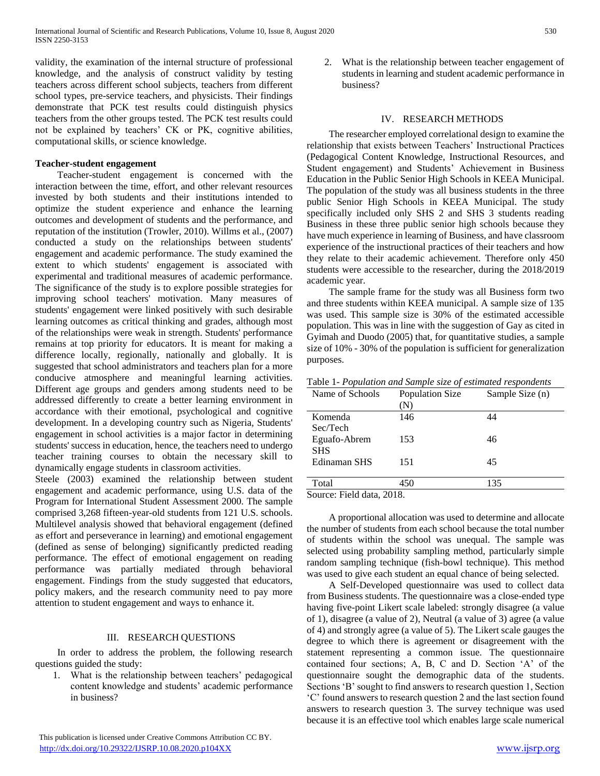validity, the examination of the internal structure of professional knowledge, and the analysis of construct validity by testing teachers across different school subjects, teachers from different school types, pre-service teachers, and physicists. Their findings demonstrate that PCK test results could distinguish physics teachers from the other groups tested. The PCK test results could not be explained by teachers' CK or PK, cognitive abilities, computational skills, or science knowledge.

# **Teacher-student engagement**

 Teacher-student engagement is concerned with the interaction between the time, effort, and other relevant resources invested by both students and their institutions intended to optimize the student experience and enhance the learning outcomes and development of students and the performance, and reputation of the institution (Trowler, 2010). Willms et al., (2007) conducted a study on the relationships between students' engagement and academic performance. The study examined the extent to which students' engagement is associated with experimental and traditional measures of academic performance. The significance of the study is to explore possible strategies for improving school teachers' motivation. Many measures of students' engagement were linked positively with such desirable learning outcomes as critical thinking and grades, although most of the relationships were weak in strength. Students' performance remains at top priority for educators. It is meant for making a difference locally, regionally, nationally and globally. It is suggested that school administrators and teachers plan for a more conducive atmosphere and meaningful learning activities. Different age groups and genders among students need to be addressed differently to create a better learning environment in accordance with their emotional, psychological and cognitive development. In a developing country such as Nigeria, Students' engagement in school activities is a major factor in determining students' success in education, hence, the teachers need to undergo teacher training courses to obtain the necessary skill to dynamically engage students in classroom activities.

Steele (2003) examined the relationship between student engagement and academic performance, using U.S. data of the Program for International Student Assessment 2000. The sample comprised 3,268 fifteen-year-old students from 121 U.S. schools. Multilevel analysis showed that behavioral engagement (defined as effort and perseverance in learning) and emotional engagement (defined as sense of belonging) significantly predicted reading performance. The effect of emotional engagement on reading performance was partially mediated through behavioral engagement. Findings from the study suggested that educators, policy makers, and the research community need to pay more attention to student engagement and ways to enhance it.

### III. RESEARCH QUESTIONS

 In order to address the problem, the following research questions guided the study:

1. What is the relationship between teachers' pedagogical content knowledge and students' academic performance in business?

2. What is the relationship between teacher engagement of students in learning and student academic performance in business?

#### IV. RESEARCH METHODS

 The researcher employed correlational design to examine the relationship that exists between Teachers' Instructional Practices (Pedagogical Content Knowledge, Instructional Resources, and Student engagement) and Students' Achievement in Business Education in the Public Senior High Schools in KEEA Municipal. The population of the study was all business students in the three public Senior High Schools in KEEA Municipal. The study specifically included only SHS 2 and SHS 3 students reading Business in these three public senior high schools because they have much experience in learning of Business, and have classroom experience of the instructional practices of their teachers and how they relate to their academic achievement. Therefore only 450 students were accessible to the researcher, during the 2018/2019 academic year.

 The sample frame for the study was all Business form two and three students within KEEA municipal. A sample size of 135 was used. This sample size is 30% of the estimated accessible population. This was in line with the suggestion of Gay as cited in Gyimah and Duodo (2005) that, for quantitative studies, a sample size of 10% - 30% of the population is sufficient for generalization purposes.

| Table 1- Population and Sample size of estimated respondents |  |  |  |  |  |  |  |  |  |  |  |
|--------------------------------------------------------------|--|--|--|--|--|--|--|--|--|--|--|
|--------------------------------------------------------------|--|--|--|--|--|--|--|--|--|--|--|

| Name of Schools           | Population Size<br>(N) | Sample Size (n) |
|---------------------------|------------------------|-----------------|
| Komenda                   | 146                    | 44              |
| Sec/Tech                  |                        |                 |
| Eguafo-Abrem              | 153                    | 46              |
| <b>SHS</b>                |                        |                 |
| Edinaman SHS              | 151                    | 45              |
|                           |                        |                 |
| Total                     | 450                    | 135             |
| Source: Field data, 2018. |                        |                 |

 $r$ ield data, 2018

 A proportional allocation was used to determine and allocate the number of students from each school because the total number of students within the school was unequal. The sample was selected using probability sampling method, particularly simple random sampling technique (fish-bowl technique). This method was used to give each student an equal chance of being selected.

 A Self-Developed questionnaire was used to collect data from Business students. The questionnaire was a close-ended type having five-point Likert scale labeled: strongly disagree (a value of 1), disagree (a value of 2), Neutral (a value of 3) agree (a value of 4) and strongly agree (a value of 5). The Likert scale gauges the degree to which there is agreement or disagreement with the statement representing a common issue. The questionnaire contained four sections; A, B, C and D. Section 'A' of the questionnaire sought the demographic data of the students. Sections 'B' sought to find answers to research question 1, Section 'C' found answers to research question 2 and the last section found answers to research question 3. The survey technique was used because it is an effective tool which enables large scale numerical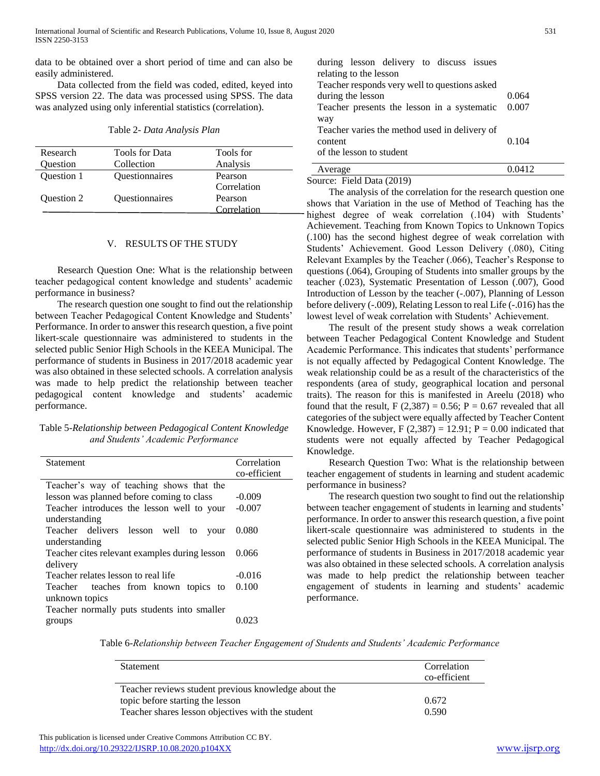data to be obtained over a short period of time and can also be easily administered.

 Data collected from the field was coded, edited, keyed into SPSS version 22. The data was processed using SPSS. The data was analyzed using only inferential statistics (correlation).

| Table 2- Data Analysis Plan |  |  |  |
|-----------------------------|--|--|--|
|                             |  |  |  |

| Research          | <b>Tools for Data</b> | Tools for   |
|-------------------|-----------------------|-------------|
| Question          | Collection            | Analysis    |
| <b>Ouestion 1</b> | Questionnaires        | Pearson     |
|                   |                       | Correlation |
| <b>Ouestion 2</b> | <b>Ouestionnaires</b> | Pearson     |
|                   |                       | Correlation |

### V. RESULTS OF THE STUDY

 Research Question One: What is the relationship between teacher pedagogical content knowledge and students' academic performance in business?

 The research question one sought to find out the relationship between Teacher Pedagogical Content Knowledge and Students' Performance. In order to answer this research question, a five point likert-scale questionnaire was administered to students in the selected public Senior High Schools in the KEEA Municipal. The performance of students in Business in 2017/2018 academic year was also obtained in these selected schools. A correlation analysis was made to help predict the relationship between teacher pedagogical content knowledge and students' academic performance.

# Table 5-*Relationship between Pedagogical Content Knowledge and Students' Academic Performance*

| Statement                                     | Correlation  |
|-----------------------------------------------|--------------|
|                                               | co-efficient |
| Teacher's way of teaching shows that the      |              |
| lesson was planned before coming to class     | $-0.009$     |
| Teacher introduces the lesson well to your    | $-0.007$     |
| understanding                                 |              |
| Teacher delivers lesson well to<br>your       | 0.080        |
| understanding                                 |              |
| Teacher cites relevant examples during lesson | 0.066        |
| delivery                                      |              |
| Teacher relates lesson to real life           | $-0.016$     |
| Teacher teaches from known topics to          | 0.100        |
| unknown topics                                |              |
| Teacher normally puts students into smaller   |              |
| groups                                        |              |
|                                               |              |

| during lesson delivery to discuss issues<br>relating to the lesson |       |
|--------------------------------------------------------------------|-------|
| Teacher responds very well to questions asked                      |       |
| during the lesson                                                  | 0.064 |
| Teacher presents the lesson in a systematic                        | 0.007 |
| way                                                                |       |
| Teacher varies the method used in delivery of                      |       |
| content                                                            | 0.104 |
| of the lesson to student                                           |       |
| Average                                                            |       |

Source: Field Data (2019)

 The analysis of the correlation for the research question one shows that Variation in the use of Method of Teaching has the highest degree of weak correlation (.104) with Students' Achievement. Teaching from Known Topics to Unknown Topics (.100) has the second highest degree of weak correlation with Students' Achievement. Good Lesson Delivery (.080), Citing Relevant Examples by the Teacher (.066), Teacher's Response to questions (.064), Grouping of Students into smaller groups by the teacher (.023), Systematic Presentation of Lesson (.007), Good Introduction of Lesson by the teacher (-.007), Planning of Lesson before delivery (-.009), Relating Lesson to real Life (-.016) has the lowest level of weak correlation with Students' Achievement.

 The result of the present study shows a weak correlation between Teacher Pedagogical Content Knowledge and Student Academic Performance. This indicates that students' performance is not equally affected by Pedagogical Content Knowledge. The weak relationship could be as a result of the characteristics of the respondents (area of study, geographical location and personal traits). The reason for this is manifested in Areelu (2018) who found that the result,  $F(2,387) = 0.56$ ;  $P = 0.67$  revealed that all categories of the subject were equally affected by Teacher Content Knowledge. However, F  $(2,387) = 12.91$ ; P = 0.00 indicated that students were not equally affected by Teacher Pedagogical Knowledge.

 Research Question Two: What is the relationship between teacher engagement of students in learning and student academic performance in business?

 The research question two sought to find out the relationship between teacher engagement of students in learning and students' performance. In order to answer this research question, a five point likert-scale questionnaire was administered to students in the selected public Senior High Schools in the KEEA Municipal. The performance of students in Business in 2017/2018 academic year was also obtained in these selected schools. A correlation analysis was made to help predict the relationship between teacher engagement of students in learning and students' academic performance.

| Table 6-Relationship between Teacher Engagement of Students and Students' Academic Performance |  |  |
|------------------------------------------------------------------------------------------------|--|--|
|------------------------------------------------------------------------------------------------|--|--|

| Statement                                            | Correlation<br>co-efficient |
|------------------------------------------------------|-----------------------------|
|                                                      |                             |
| Teacher reviews student previous knowledge about the |                             |
| topic before starting the lesson                     | 0.672                       |
| Teacher shares lesson objectives with the student    | 0.590                       |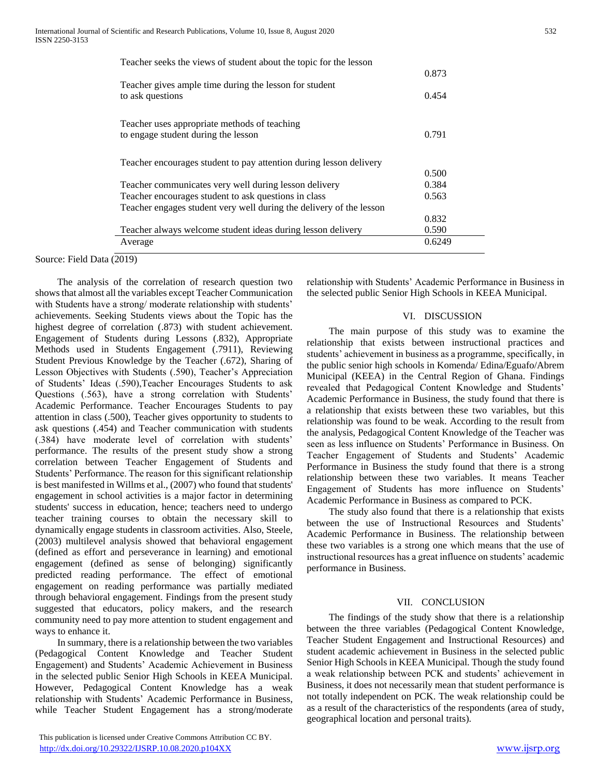| Teacher seeks the views of student about the topic for the lesson          |        |
|----------------------------------------------------------------------------|--------|
|                                                                            | 0.873  |
| Teacher gives ample time during the lesson for student<br>to ask questions | 0.454  |
| Teacher uses appropriate methods of teaching                               |        |
| to engage student during the lesson                                        | 0.791  |
| Teacher encourages student to pay attention during lesson delivery         |        |
|                                                                            | 0.500  |
| Teacher communicates very well during lesson delivery                      | 0.384  |
| Teacher encourages student to ask questions in class                       | 0.563  |
| Teacher engages student very well during the delivery of the lesson        |        |
|                                                                            | 0.832  |
| Teacher always welcome student ideas during lesson delivery                | 0.590  |
| Average                                                                    | 0.6249 |

Source: Field Data (2019)

 The analysis of the correlation of research question two shows that almost all the variables except Teacher Communication with Students have a strong/ moderate relationship with students' achievements. Seeking Students views about the Topic has the highest degree of correlation (.873) with student achievement. Engagement of Students during Lessons (.832), Appropriate Methods used in Students Engagement (.7911), Reviewing Student Previous Knowledge by the Teacher (.672), Sharing of Lesson Objectives with Students (.590), Teacher's Appreciation of Students' Ideas (.590),Teacher Encourages Students to ask Questions (.563), have a strong correlation with Students' Academic Performance. Teacher Encourages Students to pay attention in class (.500), Teacher gives opportunity to students to ask questions (.454) and Teacher communication with students (.384) have moderate level of correlation with students' performance. The results of the present study show a strong correlation between Teacher Engagement of Students and Students' Performance. The reason for this significant relationship is best manifested in Willms et al., (2007) who found that students' engagement in school activities is a major factor in determining students' success in education, hence; teachers need to undergo teacher training courses to obtain the necessary skill to dynamically engage students in classroom activities. Also, Steele, (2003) multilevel analysis showed that behavioral engagement (defined as effort and perseverance in learning) and emotional engagement (defined as sense of belonging) significantly predicted reading performance. The effect of emotional engagement on reading performance was partially mediated through behavioral engagement. Findings from the present study suggested that educators, policy makers, and the research community need to pay more attention to student engagement and ways to enhance it.

 In summary, there is a relationship between the two variables (Pedagogical Content Knowledge and Teacher Student Engagement) and Students' Academic Achievement in Business in the selected public Senior High Schools in KEEA Municipal. However, Pedagogical Content Knowledge has a weak relationship with Students' Academic Performance in Business, while Teacher Student Engagement has a strong/moderate relationship with Students' Academic Performance in Business in the selected public Senior High Schools in KEEA Municipal.

### VI. DISCUSSION

 The main purpose of this study was to examine the relationship that exists between instructional practices and students' achievement in business as a programme, specifically, in the public senior high schools in Komenda/ Edina/Eguafo/Abrem Municipal (KEEA) in the Central Region of Ghana. Findings revealed that Pedagogical Content Knowledge and Students' Academic Performance in Business, the study found that there is a relationship that exists between these two variables, but this relationship was found to be weak. According to the result from the analysis, Pedagogical Content Knowledge of the Teacher was seen as less influence on Students' Performance in Business. On Teacher Engagement of Students and Students' Academic Performance in Business the study found that there is a strong relationship between these two variables. It means Teacher Engagement of Students has more influence on Students' Academic Performance in Business as compared to PCK.

 The study also found that there is a relationship that exists between the use of Instructional Resources and Students' Academic Performance in Business. The relationship between these two variables is a strong one which means that the use of instructional resources has a great influence on students' academic performance in Business.

#### VII. CONCLUSION

 The findings of the study show that there is a relationship between the three variables (Pedagogical Content Knowledge, Teacher Student Engagement and Instructional Resources) and student academic achievement in Business in the selected public Senior High Schools in KEEA Municipal. Though the study found a weak relationship between PCK and students' achievement in Business, it does not necessarily mean that student performance is not totally independent on PCK. The weak relationship could be as a result of the characteristics of the respondents (area of study, geographical location and personal traits).

This publication is licensed under Creative Commons Attribution CC BY. <http://dx.doi.org/10.29322/IJSRP.10.08.2020.p104XX> [www.ijsrp.org](http://ijsrp.org/)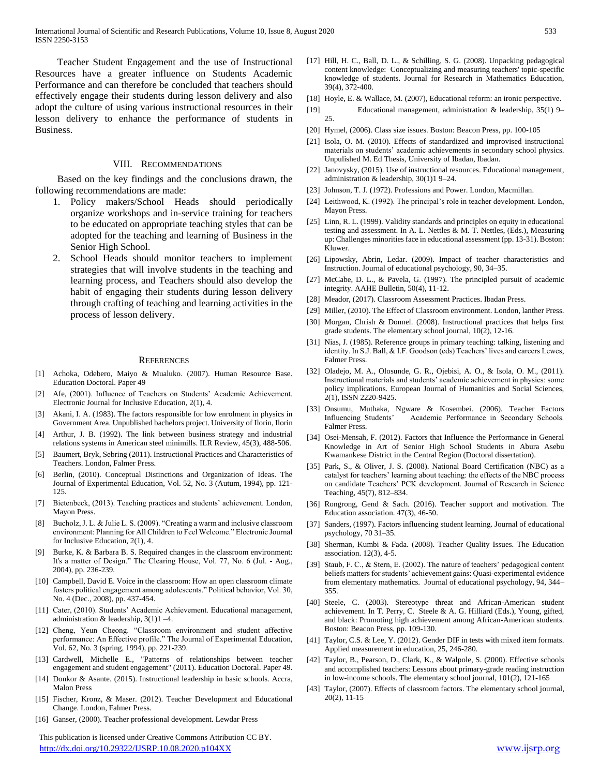Teacher Student Engagement and the use of Instructional Resources have a greater influence on Students Academic Performance and can therefore be concluded that teachers should effectively engage their students during lesson delivery and also adopt the culture of using various instructional resources in their lesson delivery to enhance the performance of students in Business.

#### VIII. RECOMMENDATIONS

 Based on the key findings and the conclusions drawn, the following recommendations are made:

- 1. Policy makers/School Heads should periodically organize workshops and in-service training for teachers to be educated on appropriate teaching styles that can be adopted for the teaching and learning of Business in the Senior High School.
- 2. School Heads should monitor teachers to implement strategies that will involve students in the teaching and learning process, and Teachers should also develop the habit of engaging their students during lesson delivery through crafting of teaching and learning activities in the process of lesson delivery.

#### **REFERENCES**

- [1] Achoka, Odebero, Maiyo & Mualuko. (2007). Human Resource Base. Education Doctoral. Paper 49
- [2] Afe, (2001). Influence of Teachers on Students' Academic Achievement. Electronic Journal for Inclusive Education, 2(1), 4.
- [3] Akani, I. A. (1983). The factors responsible for low enrolment in physics in Government Area. Unpublished bachelors project. University of Ilorin, Ilorin
- [4] Arthur, J. B. (1992). The link between business strategy and industrial relations systems in American steel minimills. ILR Review, 45(3), 488-506.
- [5] Baumert, Bryk, Sebring (2011). Instructional Practices and Characteristics of Teachers. London, Falmer Press.
- [6] Berlin, (2010). Conceptual Distinctions and Organization of Ideas. The Journal of Experimental Education, Vol. 52, No. 3 (Autum, 1994), pp. 121- 125.
- [7] Bietenbeck, (2013). Teaching practices and students' achievement. London, Mayon Press.
- [8] Bucholz, J. L. & Julie L. S. (2009). "Creating a warm and inclusive classroom environment: Planning for All Children to Feel Welcome." Electronic Journal for Inclusive Education, 2(1), 4.
- [9] Burke, K. & Barbara B. S. Required changes in the classroom environment: It's a matter of Design." The Clearing House, Vol. 77, No. 6 (Jul. - Aug., 2004), pp. 236-239.
- [10] Campbell, David E. Voice in the classroom: How an open classroom climate fosters political engagement among adolescents." Political behavior, Vol. 30, No. 4 (Dec., 2008), pp. 437-454.
- [11] Cater, (2010). Students' Academic Achievement. Educational management, administration & leadership,  $3(1)1 -4$ .
- [12] Cheng, Yeun Cheong. "Classroom environment and student affective performance: An Effective profile." The Journal of Experimental Education, Vol. 62, No. 3 (spring, 1994), pp. 221-239.
- [13] Cardwell, Michelle E., "Patterns of relationships between teacher engagement and student engagement" (2011). Education Doctoral. Paper 49.
- [14] Donkor & Asante. (2015). Instructional leadership in basic schools. Accra, Malon Press
- [15] Fischer, Kronz, & Maser. (2012). Teacher Development and Educational Change. London, Falmer Press.
- [16] Ganser, (2000). Teacher professional development. Lewdar Press

 This publication is licensed under Creative Commons Attribution CC BY. <http://dx.doi.org/10.29322/IJSRP.10.08.2020.p104XX> [www.ijsrp.org](http://ijsrp.org/)

- [17] Hill, H. C., Ball, D. L., & Schilling, S. G. (2008). Unpacking pedagogical content knowledge: Conceptualizing and measuring teachers' topic-specific knowledge of students. Journal for Research in Mathematics Education, 39(4), 372-400.
- [18] Hoyle, E. & Wallace, M. (2007), Educational reform: an ironic perspective.
- [19] Educational management, administration & leadership, 35(1) 9– 25.
- [20] Hymel, (2006). Class size issues. Boston: Beacon Press, pp. 100-105
- [21] Isola, O. M. (2010). Effects of standardized and improvised instructional materials on students' academic achievements in secondary school physics. Unpulished M. Ed Thesis, University of Ibadan, Ibadan.
- [22] Janovysky, (2015). Use of instructional resources. Educational management, administration & leadership, 30(1)1 9–24.
- [23] Johnson, T. J. (1972). Professions and Power. London, Macmillan.
- [24] Leithwood, K. (1992). The principal's role in teacher development. London, Mayon Press.
- [25] Linn, R. L. (1999). Validity standards and principles on equity in educational testing and assessment. In A. L. Nettles  $\&$  M. T. Nettles, (Eds.), Measuring up: Challenges minorities face in educational assessment (pp. 13-31). Boston: Kluwer.
- [26] Lipowsky, Abrin, Ledar. (2009). Impact of teacher characteristics and Instruction. Journal of educational psychology, 90, 34–35.
- [27] McCabe, D. L., & Pavela, G. (1997). The principled pursuit of academic integrity. AAHE Bulletin, 50(4), 11-12.
- [28] Meador, (2017). Classroom Assessment Practices. Ibadan Press.
- [29] Miller, (2010). The Effect of Classroom environment. London, lanther Press.
- [30] Morgan, Chrish & Donnel. (2008). Instructional practices that helps first grade students. The elementary school journal, 10(2), 12-16.
- [31] Nias, J. (1985). Reference groups in primary teaching: talking, listening and identity. In S.J. Ball, & I.F. Goodson (eds) Teachers' lives and careers Lewes, Falmer Press.
- [32] Oladejo, M. A., Olosunde, G. R., Ojebisi, A. O., & Isola, O. M., (2011). Instructional materials and students' academic achievement in physics: some policy implications. European Journal of Humanities and Social Sciences, 2(1), ISSN 2220-9425.
- [33] Onsumu, Muthaka, Ngware & Kosembei. (2006). Teacher Factors Influencing Students' Academic Performance in Secondary Schools. Falmer Press.
- [34] Osei-Mensah, F. (2012). Factors that Influence the Performance in General Knowledge in Art of Senior High School Students in Abura Asebu Kwamankese District in the Central Region (Doctoral dissertation).
- [35] Park, S., & Oliver, J. S. (2008). National Board Certification (NBC) as a catalyst for teachers' learning about teaching: the effects of the NBC process on candidate Teachers' PCK development. Journal of Research in Science Teaching, 45(7), 812–834.
- [36] Rongrong, Gend & Sach. (2016). Teacher support and motivation. The Education association. 47(3), 46-50.
- [37] Sanders, (1997). Factors influencing student learning. Journal of educational psychology, 70 31–35.
- [38] Sherman, Kumbi & Fada. (2008). Teacher Quality Issues. The Education association. 12(3), 4-5.
- [39] Staub, F. C., & Stern, E. (2002). The nature of teachers' pedagogical content beliefs matters for students' achievement gains: Quasi-experimental evidence from elementary mathematics. Journal of educational psychology, 94, 344– 355.
- [40] Steele, C. (2003). Stereotype threat and African-American student achievement. In T. Perry, C. Steele & A. G. Hilliard (Eds.), Young, gifted, and black: Promoting high achievement among African-American students. Boston: Beacon Press, pp. 109-130.
- [41] Taylor, C.S. & Lee, Y. (2012). Gender DIF in tests with mixed item formats. Applied measurement in education, 25, 246-280.
- [42] Taylor, B., Pearson, D., Clark, K., & Walpole, S. (2000). Effective schools and accomplished teachers: Lessons about primary-grade reading instruction in low-income schools. The elementary school journal, 101(2), 121-165
- [43] Taylor, (2007). Effects of classroom factors. The elementary school journal, 20(2), 11-15